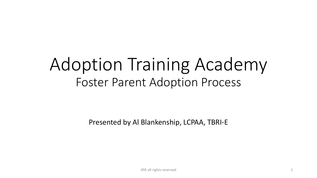## Adoption Training Academy Foster Parent Adoption Process

Presented by Al Blankenship, LCPAA, TBRI-E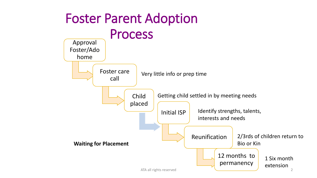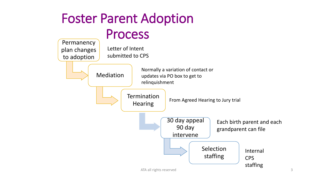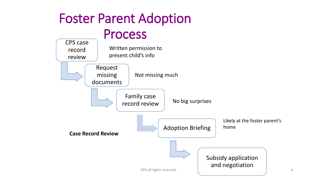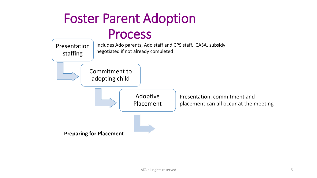## Foster Parent Adoption Process

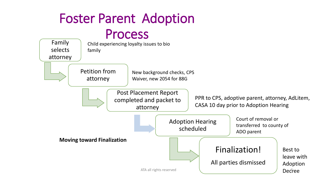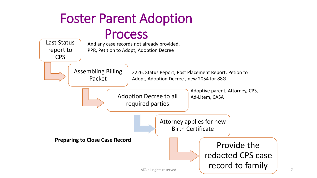## Foster Parent Adoption

## Process